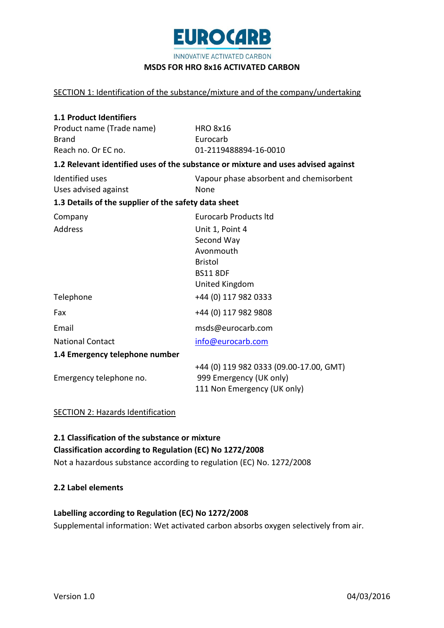

INNOVATIVE ACTIVATED CARBON

#### **MSDS FOR HRO 8x16 ACTIVATED CARBON**

#### SECTION 1: Identification of the substance/mixture and of the company/undertaking

| <b>1.1 Product Identifiers</b>                       |                                                                                   |
|------------------------------------------------------|-----------------------------------------------------------------------------------|
| Product name (Trade name)                            | <b>HRO 8x16</b>                                                                   |
| <b>Brand</b>                                         | Eurocarb                                                                          |
| Reach no. Or EC no.                                  | 01-2119488894-16-0010                                                             |
|                                                      | 1.2 Relevant identified uses of the substance or mixture and uses advised against |
| Identified uses                                      | Vapour phase absorbent and chemisorbent                                           |
| Uses advised against                                 | None                                                                              |
| 1.3 Details of the supplier of the safety data sheet |                                                                                   |
| Company                                              | <b>Eurocarb Products Itd</b>                                                      |
| Address                                              | Unit 1, Point 4                                                                   |
|                                                      | Second Way                                                                        |
|                                                      | Avonmouth                                                                         |
|                                                      | <b>Bristol</b>                                                                    |
|                                                      | <b>BS11 8DF</b>                                                                   |
|                                                      | United Kingdom                                                                    |
| Telephone                                            | +44 (0) 117 982 0333                                                              |
| Fax                                                  | +44 (0) 117 982 9808                                                              |
| Email                                                | msds@eurocarb.com                                                                 |
| <b>National Contact</b>                              | info@eurocarb.com                                                                 |
| 1.4 Emergency telephone number                       |                                                                                   |
|                                                      | +44 (0) 119 982 0333 (09.00-17.00, GMT)                                           |
| Emergency telephone no.                              | 999 Emergency (UK only)                                                           |
|                                                      | 111 Non Emergency (UK only)                                                       |

### SECTION 2: Hazards Identification

# **2.1 Classification of the substance or mixture Classification according to Regulation (EC) No 1272/2008** Not a hazardous substance according to regulation (EC) No. 1272/2008

#### **2.2 Label elements**

# **Labelling according to Regulation (EC) No 1272/2008**

Supplemental information: Wet activated carbon absorbs oxygen selectively from air.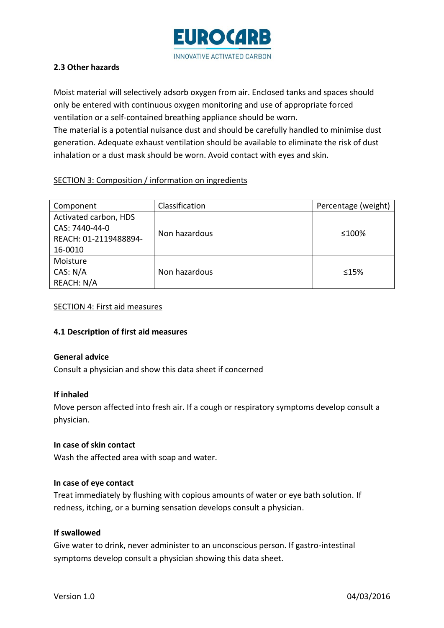

# **2.3 Other hazards**

Moist material will selectively adsorb oxygen from air. Enclosed tanks and spaces should only be entered with continuous oxygen monitoring and use of appropriate forced ventilation or a self-contained breathing appliance should be worn. The material is a potential nuisance dust and should be carefully handled to minimise dust generation. Adequate exhaust ventilation should be available to eliminate the risk of dust inhalation or a dust mask should be worn. Avoid contact with eyes and skin.

# SECTION 3: Composition / information on ingredients

| Component             | Classification | Percentage (weight) |  |
|-----------------------|----------------|---------------------|--|
| Activated carbon, HDS |                |                     |  |
| CAS: 7440-44-0        |                | ≤100%               |  |
| REACH: 01-2119488894- | Non hazardous  |                     |  |
| 16-0010               |                |                     |  |
| Moisture              |                |                     |  |
| CAS: N/A              | Non hazardous  | $\leq 15\%$         |  |
| REACH: N/A            |                |                     |  |

#### SECTION 4: First aid measures

# **4.1 Description of first aid measures**

#### **General advice**

Consult a physician and show this data sheet if concerned

#### **If inhaled**

Move person affected into fresh air. If a cough or respiratory symptoms develop consult a physician.

# **In case of skin contact**

Wash the affected area with soap and water.

# **In case of eye contact**

Treat immediately by flushing with copious amounts of water or eye bath solution. If redness, itching, or a burning sensation develops consult a physician.

# **If swallowed**

Give water to drink, never administer to an unconscious person. If gastro-intestinal symptoms develop consult a physician showing this data sheet.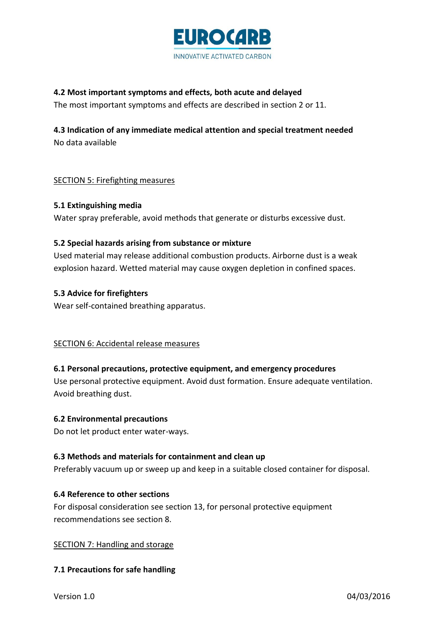

# **4.2 Most important symptoms and effects, both acute and delayed**

The most important symptoms and effects are described in section 2 or 11.

# **4.3 Indication of any immediate medical attention and special treatment needed** No data available

# SECTION 5: Firefighting measures

# **5.1 Extinguishing media**

Water spray preferable, avoid methods that generate or disturbs excessive dust.

# **5.2 Special hazards arising from substance or mixture**

Used material may release additional combustion products. Airborne dust is a weak explosion hazard. Wetted material may cause oxygen depletion in confined spaces.

# **5.3 Advice for firefighters**

Wear self-contained breathing apparatus.

# SECTION 6: Accidental release measures

# **6.1 Personal precautions, protective equipment, and emergency procedures**

Use personal protective equipment. Avoid dust formation. Ensure adequate ventilation. Avoid breathing dust.

# **6.2 Environmental precautions**

Do not let product enter water-ways.

# **6.3 Methods and materials for containment and clean up**

Preferably vacuum up or sweep up and keep in a suitable closed container for disposal.

# **6.4 Reference to other sections**

For disposal consideration see section 13, for personal protective equipment recommendations see section 8.

# SECTION 7: Handling and storage

# **7.1 Precautions for safe handling**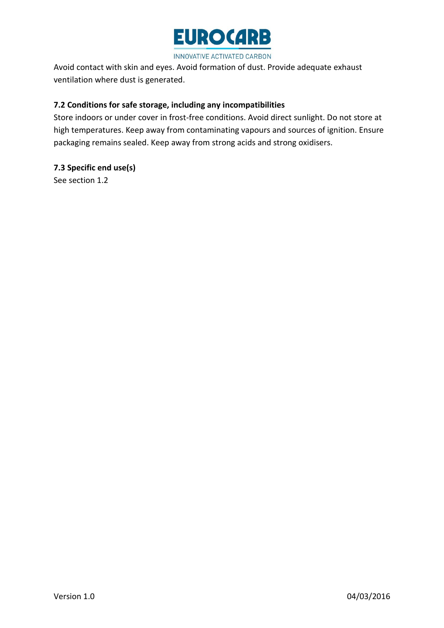

INNOVATIVE ACTIVATED CARBON

Avoid contact with skin and eyes. Avoid formation of dust. Provide adequate exhaust ventilation where dust is generated.

# **7.2 Conditions for safe storage, including any incompatibilities**

Store indoors or under cover in frost-free conditions. Avoid direct sunlight. Do not store at high temperatures. Keep away from contaminating vapours and sources of ignition. Ensure packaging remains sealed. Keep away from strong acids and strong oxidisers.

# **7.3 Specific end use(s)**

See section 1.2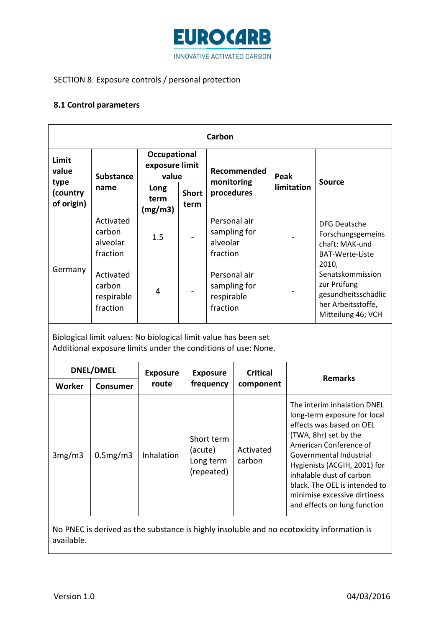

# SECTION 8: Exposure controls / personal protection

### **8.1 Control parameters**

| Carbon                                                                                                                           |                                               |                                         |                      |                                                                                                                |                 |            |                                                                                                                                                                                                                                                                                                                                    |  |
|----------------------------------------------------------------------------------------------------------------------------------|-----------------------------------------------|-----------------------------------------|----------------------|----------------------------------------------------------------------------------------------------------------|-----------------|------------|------------------------------------------------------------------------------------------------------------------------------------------------------------------------------------------------------------------------------------------------------------------------------------------------------------------------------------|--|
| Limit<br>value<br>type<br>(country<br>of origin)                                                                                 | <b>Substance</b><br>name                      | Occupational<br>exposure limit<br>value |                      | Recommended<br>monitoring                                                                                      |                 | Peak       | <b>Source</b>                                                                                                                                                                                                                                                                                                                      |  |
|                                                                                                                                  |                                               | Long<br>term<br>(mg/m3)                 | <b>Short</b><br>term | procedures                                                                                                     |                 | limitation |                                                                                                                                                                                                                                                                                                                                    |  |
| Germany                                                                                                                          | Activated<br>carbon<br>alveolar<br>fraction   | 1.5                                     |                      | Personal air<br>sampling for<br>alveolar<br>fraction<br>Personal air<br>sampling for<br>respirable<br>fraction |                 |            | <b>DFG Deutsche</b><br>Forschungsgemeins<br>chaft: MAK-und<br><b>BAT-Werte-Liste</b><br>2010,<br>Senatskommission<br>zur Prüfung<br>gesundheitsschädlic<br>her Arbeitsstoffe,<br>Mitteilung 46; VCH                                                                                                                                |  |
|                                                                                                                                  | Activated<br>carbon<br>respirable<br>fraction | 4                                       |                      |                                                                                                                |                 |            |                                                                                                                                                                                                                                                                                                                                    |  |
| Biological limit values: No biological limit value has been set<br>Additional exposure limits under the conditions of use: None. |                                               |                                         |                      |                                                                                                                |                 |            |                                                                                                                                                                                                                                                                                                                                    |  |
| DNEL/DMEL                                                                                                                        |                                               | <b>Exposure</b>                         |                      | <b>Exposure</b>                                                                                                | <b>Critical</b> |            | <b>Remarks</b>                                                                                                                                                                                                                                                                                                                     |  |
| Worker                                                                                                                           | <b>Consumer</b>                               | route                                   |                      | frequency                                                                                                      | component       |            |                                                                                                                                                                                                                                                                                                                                    |  |
| 3mg/m3                                                                                                                           | 0.5mg/m3                                      | Inhalation                              |                      | Short term<br>(acute)<br>Activated<br>carbon<br>Long term<br>(repeated)                                        |                 |            | The interim inhalation DNEL<br>long-term exposure for local<br>effects was based on OEL<br>(TWA, 8hr) set by the<br>American Conference of<br>Governmental Industrial<br>Hygienists (ACGIH, 2001) for<br>inhalable dust of carbon<br>black. The OEL is intended to<br>minimise excessive dirtiness<br>and effects on lung function |  |

No PNEC is derived as the substance is highly insoluble and no ecotoxicity information is available.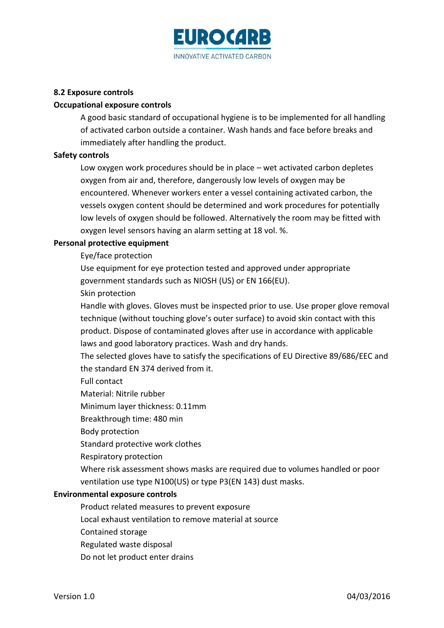

### **8.2 Exposure controls**

#### **Occupational exposure controls**

A good basic standard of occupational hygiene is to be implemented for all handling of activated carbon outside a container. Wash hands and face before breaks and immediately after handling the product.

#### **Safety controls**

Low oxygen work procedures should be in place – wet activated carbon depletes oxygen from air and, therefore, dangerously low levels of oxygen may be encountered. Whenever workers enter a vessel containing activated carbon, the vessels oxygen content should be determined and work procedures for potentially low levels of oxygen should be followed. Alternatively the room may be fitted with oxygen level sensors having an alarm setting at 18 vol. %.

#### **Personal protective equipment**

Eye/face protection

Use equipment for eye protection tested and approved under appropriate government standards such as NIOSH (US) or EN 166(EU).

Skin protection

Handle with gloves. Gloves must be inspected prior to use. Use proper glove removal technique (without touching glove's outer surface) to avoid skin contact with this product. Dispose of contaminated gloves after use in accordance with applicable laws and good laboratory practices. Wash and dry hands.

The selected gloves have to satisfy the specifications of EU Directive 89/686/EEC and the standard EN 374 derived from it.

Full contact

Material: Nitrile rubber

Minimum layer thickness: 0.11mm

Breakthrough time: 480 min

Body protection

Standard protective work clothes

Respiratory protection

Where risk assessment shows masks are required due to volumes handled or poor ventilation use type N100(US) or type P3(EN 143) dust masks.

#### **Environmental exposure controls**

Product related measures to prevent exposure

Local exhaust ventilation to remove material at source

Contained storage

Regulated waste disposal

Do not let product enter drains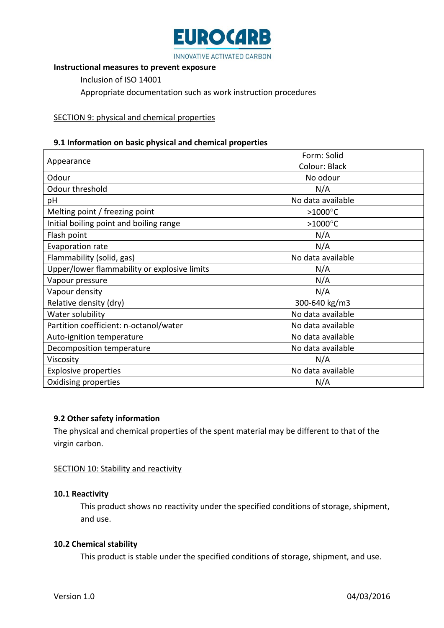

### **Instructional measures to prevent exposure**

Inclusion of ISO 14001

Appropriate documentation such as work instruction procedures

### SECTION 9: physical and chemical properties

#### **9.1 Information on basic physical and chemical properties**

| Appearance                                   | Form: Solid       |  |  |
|----------------------------------------------|-------------------|--|--|
|                                              | Colour: Black     |  |  |
| Odour                                        | No odour          |  |  |
| Odour threshold                              | N/A               |  |  |
| рH                                           | No data available |  |  |
| Melting point / freezing point               | $>1000^{\circ}$ C |  |  |
| Initial boiling point and boiling range      | >1000 $\degree$ C |  |  |
| Flash point                                  | N/A               |  |  |
| <b>Evaporation rate</b>                      | N/A               |  |  |
| Flammability (solid, gas)                    | No data available |  |  |
| Upper/lower flammability or explosive limits | N/A               |  |  |
| Vapour pressure                              | N/A               |  |  |
| Vapour density                               | N/A               |  |  |
| Relative density (dry)                       | 300-640 kg/m3     |  |  |
| Water solubility                             | No data available |  |  |
| Partition coefficient: n-octanol/water       | No data available |  |  |
| Auto-ignition temperature                    | No data available |  |  |
| Decomposition temperature                    | No data available |  |  |
| Viscosity                                    | N/A               |  |  |
| <b>Explosive properties</b>                  | No data available |  |  |
| Oxidising properties                         | N/A               |  |  |

# **9.2 Other safety information**

The physical and chemical properties of the spent material may be different to that of the virgin carbon.

#### SECTION 10: Stability and reactivity

#### **10.1 Reactivity**

This product shows no reactivity under the specified conditions of storage, shipment, and use.

#### **10.2 Chemical stability**

This product is stable under the specified conditions of storage, shipment, and use.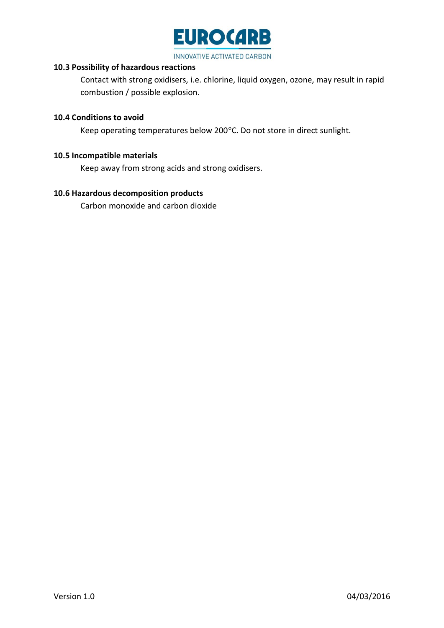

# **10.3 Possibility of hazardous reactions**

Contact with strong oxidisers, i.e. chlorine, liquid oxygen, ozone, may result in rapid combustion / possible explosion.

### **10.4 Conditions to avoid**

Keep operating temperatures below 200°C. Do not store in direct sunlight.

#### **10.5 Incompatible materials**

Keep away from strong acids and strong oxidisers.

# **10.6 Hazardous decomposition products**

Carbon monoxide and carbon dioxide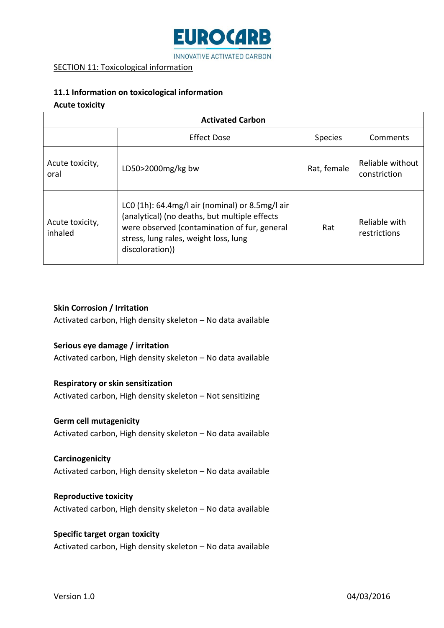

# SECTION 11: Toxicological information

# **11.1 Information on toxicological information**

#### **Acute toxicity**

| <b>Activated Carbon</b>    |                                                                                                                                                                                                                 |                |                                  |  |  |  |
|----------------------------|-----------------------------------------------------------------------------------------------------------------------------------------------------------------------------------------------------------------|----------------|----------------------------------|--|--|--|
|                            | <b>Effect Dose</b>                                                                                                                                                                                              | <b>Species</b> | Comments                         |  |  |  |
| Acute toxicity,<br>oral    | LD50 $>$ 2000mg/kg bw                                                                                                                                                                                           | Rat, female    | Reliable without<br>constriction |  |  |  |
| Acute toxicity,<br>inhaled | LC0 $(1h)$ : 64.4mg/l air (nominal) or 8.5mg/l air<br>(analytical) (no deaths, but multiple effects<br>were observed (contamination of fur, general<br>stress, lung rales, weight loss, lung<br>discoloration)) | Rat            | Reliable with<br>restrictions    |  |  |  |

#### **Skin Corrosion / Irritation**

Activated carbon, High density skeleton – No data available

# **Serious eye damage / irritation**

Activated carbon, High density skeleton – No data available

# **Respiratory or skin sensitization**

Activated carbon, High density skeleton – Not sensitizing

# **Germ cell mutagenicity**

Activated carbon, High density skeleton – No data available

#### **Carcinogenicity**

Activated carbon, High density skeleton – No data available

#### **Reproductive toxicity**

Activated carbon, High density skeleton – No data available

# **Specific target organ toxicity**

Activated carbon, High density skeleton – No data available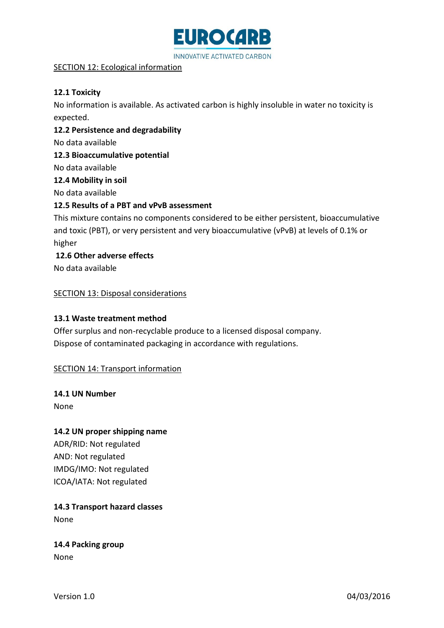

# SECTION 12: Ecological information

# **12.1 Toxicity**

No information is available. As activated carbon is highly insoluble in water no toxicity is expected.

**12.2 Persistence and degradability**

No data available

**12.3 Bioaccumulative potential**

No data available

**12.4 Mobility in soil**

No data available

# **12.5 Results of a PBT and vPvB assessment**

This mixture contains no components considered to be either persistent, bioaccumulative and toxic (PBT), or very persistent and very bioaccumulative (vPvB) at levels of 0.1% or higher

**12.6 Other adverse effects**

No data available

SECTION 13: Disposal considerations

# **13.1 Waste treatment method**

Offer surplus and non-recyclable produce to a licensed disposal company. Dispose of contaminated packaging in accordance with regulations.

# SECTION 14: Transport information

**14.1 UN Number**

None

# **14.2 UN proper shipping name**

ADR/RID: Not regulated AND: Not regulated IMDG/IMO: Not regulated ICOA/IATA: Not regulated

**14.3 Transport hazard classes** None

**14.4 Packing group** None